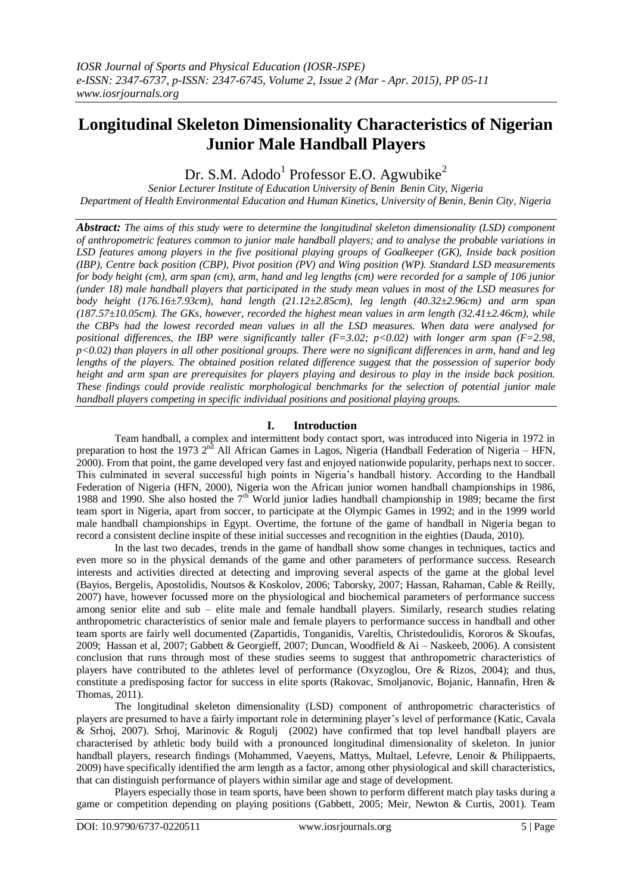# **Longitudinal Skeleton Dimensionality Characteristics of Nigerian Junior Male Handball Players**

Dr. S.M. Adodo<sup>1</sup> Professor E.O. Agwubike<sup>2</sup>

*Senior Lecturer Institute of Education University of Benin Benin City, Nigeria Department of Health Environmental Education and Human Kinetics, University of Benin, Benin City, Nigeria*

*Abstract: The aims of this study were to determine the longitudinal skeleton dimensionality (LSD) component of anthropometric features common to junior male handball players; and to analyse the probable variations in LSD features among players in the five positional playing groups of Goalkeeper (GK), Inside back position (IBP), Centre back position (CBP), Pivot position (PV) and Wing position (WP). Standard LSD measurements for body height (cm), arm span (cm), arm, hand and leg lengths (cm) were recorded for a sample of 106 junior (under 18) male handball players that participated in the study mean values in most of the LSD measures for body height (176.16±7.93cm), hand length (21.12±2.85cm), leg length (40.32±2.96cm) and arm span (187.57±10.05cm). The GKs, however, recorded the highest mean values in arm length (32.41±2.46cm), while the CBPs had the lowest recorded mean values in all the LSD measures. When data were analysed for positional differences, the IBP were significantly taller (F=3.02; p<0.02) with longer arm span (F=2.98, p<0.02) than players in all other positional groups. There were no significant differences in arm, hand and leg lengths of the players. The obtained position related difference suggest that the possession of superior body height and arm span are prerequisites for players playing and desirous to play in the inside back position. These findings could provide realistic morphological benchmarks for the selection of potential junior male handball players competing in specific individual positions and positional playing groups.*

## **I. Introduction**

Team handball, a complex and intermittent body contact sport, was introduced into Nigeria in 1972 in preparation to host the 1973 2<sup>nd</sup> All African Games in Lagos, Nigeria (Handball Federation of Nigeria – HFN, 2000). From that point, the game developed very fast and enjoyed nationwide popularity, perhaps next to soccer. This culminated in several successful high points in Nigeria's handball history. According to the Handball Federation of Nigeria (HFN, 2000), Nigeria won the African junior women handball championships in 1986, 1988 and 1990. She also hosted the  $7<sup>th</sup>$  World junior ladies handball championship in 1989; became the first team sport in Nigeria, apart from soccer, to participate at the Olympic Games in 1992; and in the 1999 world male handball championships in Egypt. Overtime, the fortune of the game of handball in Nigeria began to record a consistent decline inspite of these initial successes and recognition in the eighties (Dauda, 2010).

In the last two decades, trends in the game of handball show some changes in techniques, tactics and even more so in the physical demands of the game and other parameters of performance success. Research interests and activities directed at detecting and improving several aspects of the game at the global level (Bayios, Bergelis, Apostolidis, Noutsos & Koskolov, 2006; Taborsky, 2007; Hassan, Rahaman, Cable & Reilly, 2007) have, however focussed more on the physiological and biochemical parameters of performance success among senior elite and sub – elite male and female handball players. Similarly, research studies relating anthropometric characteristics of senior male and female players to performance success in handball and other team sports are fairly well documented (Zapartidis, Tonganidis, Vareltis, Christedoulidis, Kororos & Skoufas, 2009; Hassan et al, 2007; Gabbett & Georgieff, 2007; Duncan, Woodfield & Ai – Naskeeb, 2006). A consistent conclusion that runs through most of these studies seems to suggest that anthropometric characteristics of players have contributed to the athletes level of performance (Oxyzoglou, Ore & Rizos, 2004); and thus, constitute a predisposing factor for success in elite sports (Rakovac, Smoljanovic, Bojanic, Hannafin, Hren & Thomas, 2011).

The longitudinal skeleton dimensionality (LSD) component of anthropometric characteristics of players are presumed to have a fairly important role in determining player's level of performance (Katic, Cavala & Srhoj, 2007). Srhoj, Marinovic & Rogulj (2002) have confirmed that top level handball players are characterised by athletic body build with a pronounced longitudinal dimensionality of skeleton. In junior handball players, research findings (Mohammed, Vaeyens, Mattys, Multael, Lefevre, Lenoir & Philippaerts, 2009) have specifically identified the arm length as a factor, among other physiological and skill characteristics, that can distinguish performance of players within similar age and stage of development.

Players especially those in team sports, have been shown to perform different match play tasks during a game or competition depending on playing positions (Gabbett, 2005; Meir, Newton & Curtis, 2001). Team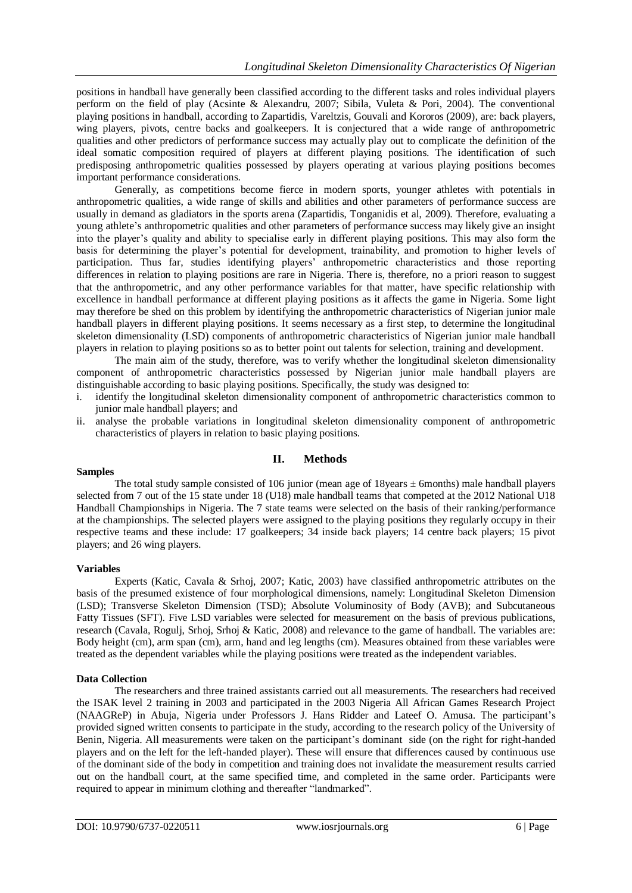positions in handball have generally been classified according to the different tasks and roles individual players perform on the field of play (Acsinte & Alexandru, 2007; Sibila, Vuleta & Pori, 2004). The conventional playing positions in handball, according to Zapartidis, Vareltzis, Gouvali and Kororos (2009), are: back players, wing players, pivots, centre backs and goalkeepers. It is conjectured that a wide range of anthropometric qualities and other predictors of performance success may actually play out to complicate the definition of the ideal somatic composition required of players at different playing positions. The identification of such predisposing anthropometric qualities possessed by players operating at various playing positions becomes important performance considerations.

Generally, as competitions become fierce in modern sports, younger athletes with potentials in anthropometric qualities, a wide range of skills and abilities and other parameters of performance success are usually in demand as gladiators in the sports arena (Zapartidis, Tonganidis et al, 2009). Therefore, evaluating a young athlete's anthropometric qualities and other parameters of performance success may likely give an insight into the player's quality and ability to specialise early in different playing positions. This may also form the basis for determining the player's potential for development, trainability, and promotion to higher levels of participation. Thus far, studies identifying players' anthropometric characteristics and those reporting differences in relation to playing positions are rare in Nigeria. There is, therefore, no a priori reason to suggest that the anthropometric, and any other performance variables for that matter, have specific relationship with excellence in handball performance at different playing positions as it affects the game in Nigeria. Some light may therefore be shed on this problem by identifying the anthropometric characteristics of Nigerian junior male handball players in different playing positions. It seems necessary as a first step, to determine the longitudinal skeleton dimensionality (LSD) components of anthropometric characteristics of Nigerian junior male handball players in relation to playing positions so as to better point out talents for selection, training and development.

The main aim of the study, therefore, was to verify whether the longitudinal skeleton dimensionality component of anthropometric characteristics possessed by Nigerian junior male handball players are distinguishable according to basic playing positions. Specifically, the study was designed to:

- i. identify the longitudinal skeleton dimensionality component of anthropometric characteristics common to junior male handball players; and
- ii. analyse the probable variations in longitudinal skeleton dimensionality component of anthropometric characteristics of players in relation to basic playing positions.

## **II. Methods**

#### **Samples**

The total study sample consisted of 106 junior (mean age of 18 years  $\pm$  6 months) male handball players selected from 7 out of the 15 state under 18 (U18) male handball teams that competed at the 2012 National U18 Handball Championships in Nigeria. The 7 state teams were selected on the basis of their ranking/performance at the championships. The selected players were assigned to the playing positions they regularly occupy in their respective teams and these include: 17 goalkeepers; 34 inside back players; 14 centre back players; 15 pivot players; and 26 wing players.

#### **Variables**

Experts (Katic, Cavala & Srhoj, 2007; Katic, 2003) have classified anthropometric attributes on the basis of the presumed existence of four morphological dimensions, namely: Longitudinal Skeleton Dimension (LSD); Transverse Skeleton Dimension (TSD); Absolute Voluminosity of Body (AVB); and Subcutaneous Fatty Tissues (SFT). Five LSD variables were selected for measurement on the basis of previous publications, research (Cavala, Rogulj, Srhoj, Srhoj & Katic, 2008) and relevance to the game of handball. The variables are: Body height (cm), arm span (cm), arm, hand and leg lengths (cm). Measures obtained from these variables were treated as the dependent variables while the playing positions were treated as the independent variables.

#### **Data Collection**

The researchers and three trained assistants carried out all measurements. The researchers had received the ISAK level 2 training in 2003 and participated in the 2003 Nigeria All African Games Research Project (NAAGReP) in Abuja, Nigeria under Professors J. Hans Ridder and Lateef O. Amusa. The participant's provided signed written consents to participate in the study, according to the research policy of the University of Benin, Nigeria. All measurements were taken on the participant's dominant side (on the right for right-handed players and on the left for the left-handed player). These will ensure that differences caused by continuous use of the dominant side of the body in competition and training does not invalidate the measurement results carried out on the handball court, at the same specified time, and completed in the same order. Participants were required to appear in minimum clothing and thereafter "landmarked".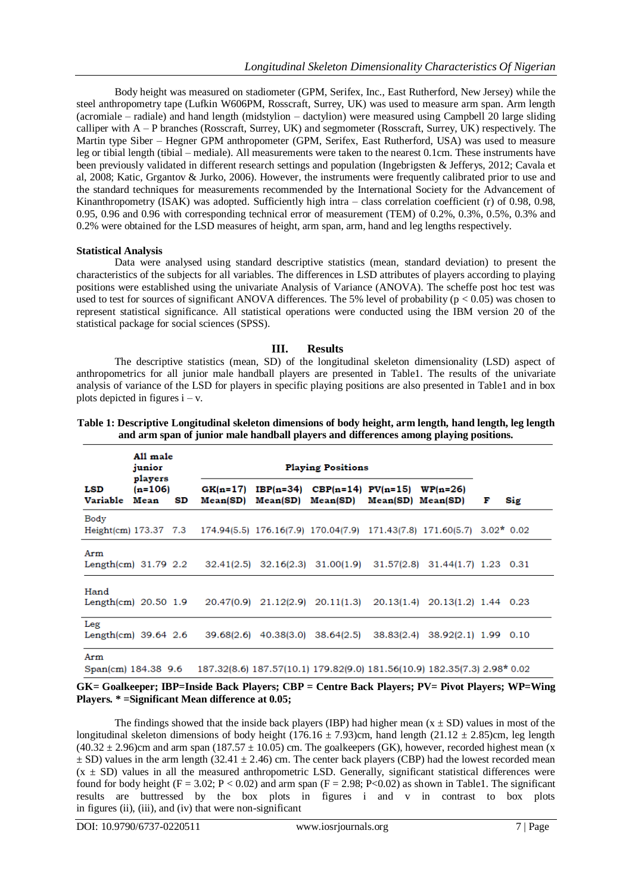Body height was measured on stadiometer (GPM, Serifex, Inc., East Rutherford, New Jersey) while the steel anthropometry tape (Lufkin W606PM, Rosscraft, Surrey, UK) was used to measure arm span. Arm length (acromiale – radiale) and hand length (midstylion – dactylion) were measured using Campbell 20 large sliding calliper with A – P branches (Rosscraft, Surrey, UK) and segmometer (Rosscraft, Surrey, UK) respectively. The Martin type Siber – Hegner GPM anthropometer (GPM, Serifex, East Rutherford, USA) was used to measure leg or tibial length (tibial – mediale). All measurements were taken to the nearest 0.1cm. These instruments have been previously validated in different research settings and population (Ingebrigsten & Jefferys, 2012; Cavala et al, 2008; Katic, Grgantov & Jurko, 2006). However, the instruments were frequently calibrated prior to use and the standard techniques for measurements recommended by the International Society for the Advancement of Kinanthropometry (ISAK) was adopted. Sufficiently high intra – class correlation coefficient (r) of 0.98, 0.98, 0.95, 0.96 and 0.96 with corresponding technical error of measurement (TEM) of 0.2%, 0.3%, 0.5%, 0.3% and 0.2% were obtained for the LSD measures of height, arm span, arm, hand and leg lengths respectively.

#### **Statistical Analysis**

Data were analysed using standard descriptive statistics (mean, standard deviation) to present the characteristics of the subjects for all variables. The differences in LSD attributes of players according to playing positions were established using the univariate Analysis of Variance (ANOVA). The scheffe post hoc test was used to test for sources of significant ANOVA differences. The 5% level of probability ( $p < 0.05$ ) was chosen to represent statistical significance. All statistical operations were conducted using the IBM version 20 of the statistical package for social sciences (SPSS).

### **III. Results**

The descriptive statistics (mean, SD) of the longitudinal skeleton dimensionality (LSD) aspect of anthropometrics for all junior male handball players are presented in Table1. The results of the univariate analysis of variance of the LSD for players in specific playing positions are also presented in Table1 and in box plots depicted in figures  $i - v$ .

|                                       | All male<br>junior<br>players<br>$(n=106)$<br>Mean<br>SD |  | <b>Playing Positions</b>                                                                     |  |                                                                                |  |                                                                          |   |     |
|---------------------------------------|----------------------------------------------------------|--|----------------------------------------------------------------------------------------------|--|--------------------------------------------------------------------------------|--|--------------------------------------------------------------------------|---|-----|
| LSD<br>Variable                       |                                                          |  | $GK(n=17)$<br>Mean(SD)                                                                       |  | $IBP(n=34)$ CBP(n=14) PV(n=15) WP(n=26)<br>Mean(SD) Mean(SD) Mean(SD) Mean(SD) |  |                                                                          | F | Sig |
| Body                                  |                                                          |  | Height(cm) 173.37 7.3 174.94(5.5) 176.16(7.9) 170.04(7.9) 171.43(7.8) 171.60(5.7) 3.02* 0.02 |  |                                                                                |  |                                                                          |   |     |
| Arm<br>Length $\text{(cm)}$ 31.79 2.2 |                                                          |  |                                                                                              |  |                                                                                |  | 32.41(2.5) 32.16(2.3) 31.00(1.9) 31.57(2.8) 31.44(1.7) 1.23 0.31         |   |     |
| Hand<br>Length $(cm)$ 20.50 1.9       |                                                          |  |                                                                                              |  |                                                                                |  | 20.47(0.9) 21.12(2.9) 20.11(1.3) 20.13(1.4) 20.13(1.2) 1.44 0.23         |   |     |
| Leg<br>Length $\text{(cm)}$ 39.64 2.6 |                                                          |  |                                                                                              |  | 39.68(2.6) 40.38(3.0) 38.64(2.5)                                               |  | 38.83(2.4) 38.92(2.1) 1.99 0.10                                          |   |     |
| Arm<br>Span(cm) 184.38 9.6            |                                                          |  |                                                                                              |  |                                                                                |  | 187.32(8.6) 187.57(10.1) 179.82(9.0) 181.56(10.9) 182.35(7.3) 2.98* 0.02 |   |     |

| Table 1: Descriptive Longitudinal skeleton dimensions of body height, arm length, hand length, leg length |
|-----------------------------------------------------------------------------------------------------------|
| and arm span of junior male handball players and differences among playing positions.                     |

#### **GK= Goalkeeper; IBP=Inside Back Players; CBP = Centre Back Players; PV= Pivot Players; WP=Wing Players. \* =Significant Mean difference at 0.05;**

The findings showed that the inside back players (IBP) had higher mean  $(x \pm SD)$  values in most of the longitudinal skeleton dimensions of body height (176.16  $\pm$  7.93)cm, hand length (21.12  $\pm$  2.85)cm, leg length  $(40.32 \pm 2.96)$ cm and arm span  $(187.57 \pm 10.05)$  cm. The goalkeepers (GK), however, recorded highest mean (x  $\pm$  SD) values in the arm length (32.41  $\pm$  2.46) cm. The center back players (CBP) had the lowest recorded mean  $(x \pm SD)$  values in all the measured anthropometric LSD. Generally, significant statistical differences were found for body height (F = 3.02; P < 0.02) and arm span (F = 2.98; P<0.02) as shown in Table1. The significant results are buttressed by the box plots in figures i and v in contrast to box plots in figures (ii), (iii), and (iv) that were non-significant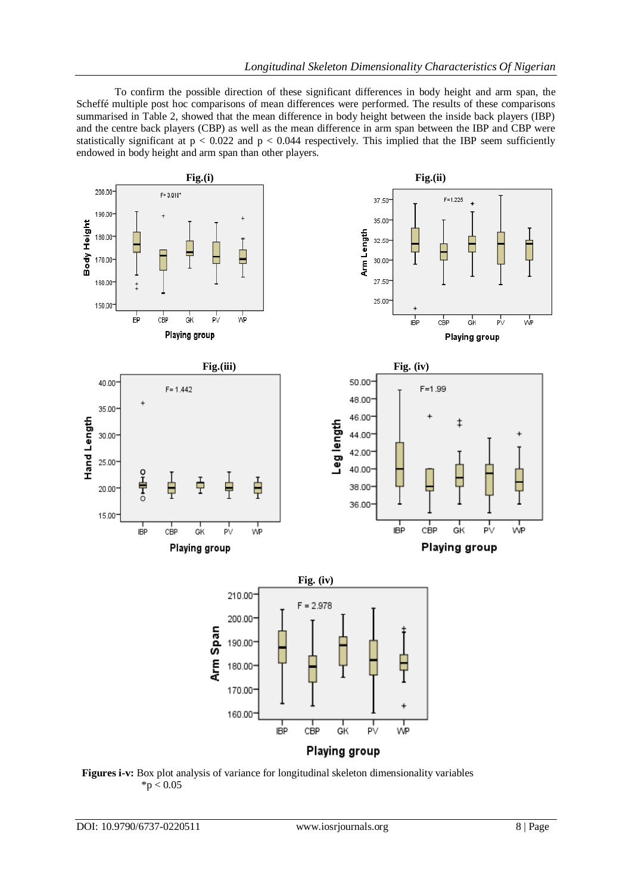To confirm the possible direction of these significant differences in body height and arm span, the Scheffé multiple post hoc comparisons of mean differences were performed. The results of these comparisons summarised in Table 2, showed that the mean difference in body height between the inside back players (IBP) and the centre back players (CBP) as well as the mean difference in arm span between the IBP and CBP were statistically significant at  $p < 0.022$  and  $p < 0.044$  respectively. This implied that the IBP seem sufficiently endowed in body height and arm span than other players.



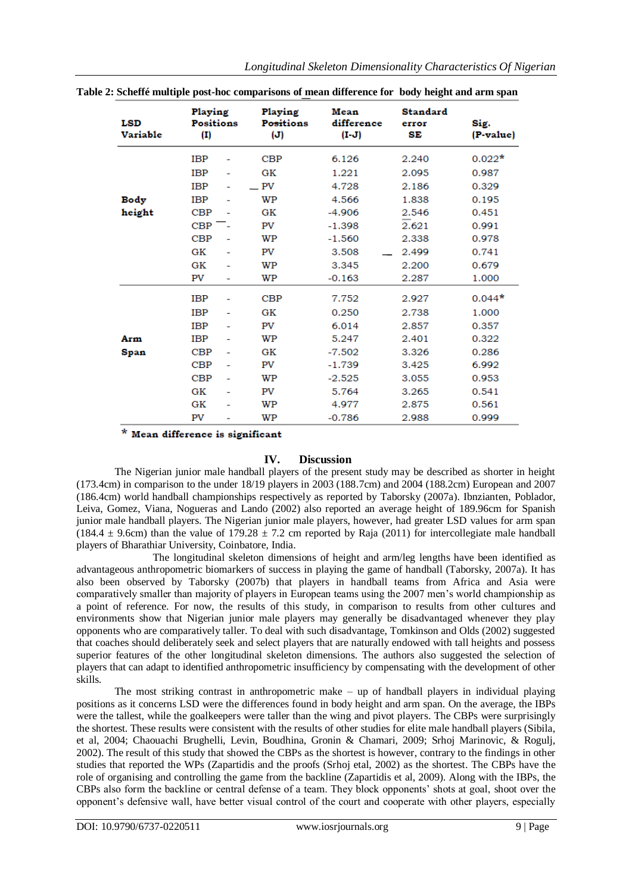| <b>LSD</b><br>Variable | Playing<br><b>Positions</b><br>$\mathbf{(I)}$ |   | Playing<br>Positions<br>$(\mathbf{J})$ | Mean<br>difference<br>$(I-J)$ | <b>Standard</b><br>error<br>SЕ | Sig.<br>(P-value) |
|------------------------|-----------------------------------------------|---|----------------------------------------|-------------------------------|--------------------------------|-------------------|
|                        | <b>IBP</b>                                    |   | <b>CBP</b>                             | 6.126                         | 2.240                          | $0.022*$          |
|                        | <b>IBP</b>                                    | - | GК                                     | 1.221                         | 2.095                          | 0.987             |
|                        | <b>IBP</b>                                    |   | PV                                     | 4.728                         | 2.186                          | 0.329             |
| Body                   | <b>IBP</b>                                    |   | WP                                     | 4.566                         | 1.838                          | 0.195             |
| height                 | CBP                                           |   | GК                                     | $-4.906$                      | 2.546                          | 0.451             |
|                        | <b>CBP</b>                                    |   | PV                                     | $-1.398$                      | 2.621                          | 0.991             |
|                        | <b>CBP</b>                                    |   | WP                                     | $-1.560$                      | 2.338                          | 0.978             |
|                        | GK                                            |   | PV                                     | 3.508                         | 2.499                          | 0.741             |
|                        | GK                                            |   | WP                                     | 3.345                         | 2.200                          | 0.679             |
|                        | PV                                            | ۰ | WP                                     | $-0.163$                      | 2.287                          | 1.000             |
|                        | <b>IBP</b>                                    |   | CBP                                    | 7.752                         | 2.927                          | $0.044*$          |
|                        | <b>IBP</b>                                    |   | GК                                     | 0.250                         | 2.738                          | 1.000             |
|                        | <b>IBP</b>                                    |   | PV                                     | 6.014                         | 2.857                          | 0.357             |
| Arm                    | <b>IBP</b>                                    |   | WP                                     | 5.247                         | 2.401                          | 0.322             |
| Span                   | <b>CBP</b>                                    | ۰ | GK                                     | $-7.502$                      | 3.326                          | 0.286             |
|                        | CBP                                           |   | PV                                     | $-1.739$                      | 3.425                          | 6.992             |
|                        | <b>CBP</b>                                    |   | WP                                     | $-2.525$                      | 3.055                          | 0.953             |
|                        | GK                                            |   | PV                                     | 5.764                         | 3.265                          | 0.541             |
|                        | GK                                            |   | WP                                     | 4.977                         | 2.875                          | 0.561             |
|                        | PV                                            |   | WP                                     | $-0.786$                      | 2.988                          | 0.999             |

**Table 2: Scheffé multiple post-hoc comparisons of mean difference for body height and arm span**

\* Mean difference is significant

## **IV. Discussion**

The Nigerian junior male handball players of the present study may be described as shorter in height (173.4cm) in comparison to the under 18/19 players in 2003 (188.7cm) and 2004 (188.2cm) European and 2007 (186.4cm) world handball championships respectively as reported by Taborsky (2007a). Ibnzianten, Poblador, Leiva, Gomez, Viana, Nogueras and Lando (2002) also reported an average height of 189.96cm for Spanish junior male handball players. The Nigerian junior male players, however, had greater LSD values for arm span (184.4  $\pm$  9.6cm) than the value of 179.28  $\pm$  7.2 cm reported by Raja (2011) for intercollegiate male handball players of Bharathiar University, Coinbatore, India.

The longitudinal skeleton dimensions of height and arm/leg lengths have been identified as advantageous anthropometric biomarkers of success in playing the game of handball (Taborsky, 2007a). It has also been observed by Taborsky (2007b) that players in handball teams from Africa and Asia were comparatively smaller than majority of players in European teams using the 2007 men's world championship as a point of reference. For now, the results of this study, in comparison to results from other cultures and environments show that Nigerian junior male players may generally be disadvantaged whenever they play opponents who are comparatively taller. To deal with such disadvantage, Tomkinson and Olds (2002) suggested that coaches should deliberately seek and select players that are naturally endowed with tall heights and possess superior features of the other longitudinal skeleton dimensions. The authors also suggested the selection of players that can adapt to identified anthropometric insufficiency by compensating with the development of other skills.

The most striking contrast in anthropometric make – up of handball players in individual playing positions as it concerns LSD were the differences found in body height and arm span. On the average, the IBPs were the tallest, while the goalkeepers were taller than the wing and pivot players. The CBPs were surprisingly the shortest. These results were consistent with the results of other studies for elite male handball players (Sibila, et al, 2004; Chaouachi Brughelli, Levin, Boudhina, Gronin & Chamari, 2009; Srhoj Marinovic, & Rogulj, 2002). The result of this study that showed the CBPs as the shortest is however, contrary to the findings in other studies that reported the WPs (Zapartidis and the proofs (Srhoj etal, 2002) as the shortest. The CBPs have the role of organising and controlling the game from the backline (Zapartidis et al, 2009). Along with the IBPs, the CBPs also form the backline or central defense of a team. They block opponents' shots at goal, shoot over the opponent's defensive wall, have better visual control of the court and cooperate with other players, especially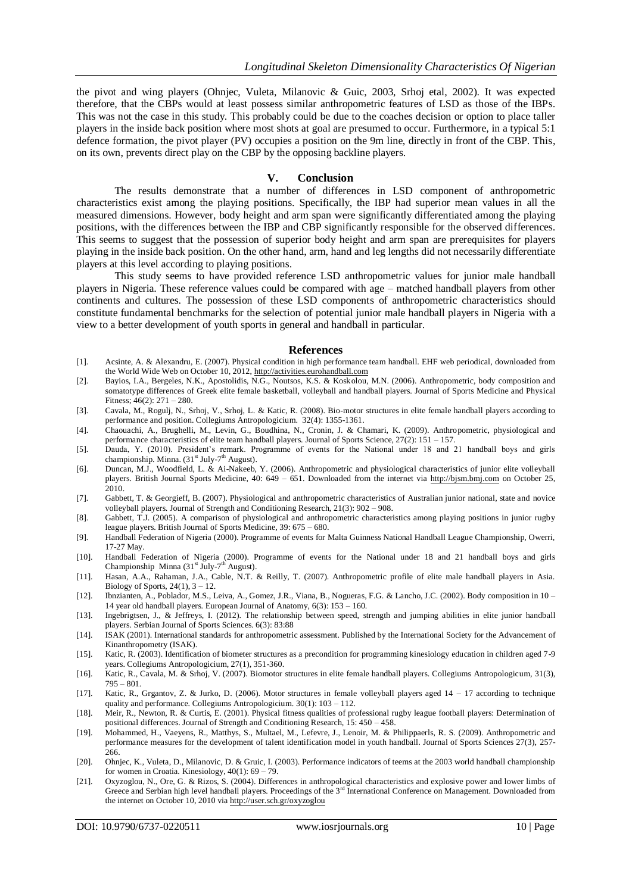the pivot and wing players (Ohnjec, Vuleta, Milanovic & Guic, 2003, Srhoj etal, 2002). It was expected therefore, that the CBPs would at least possess similar anthropometric features of LSD as those of the IBPs. This was not the case in this study. This probably could be due to the coaches decision or option to place taller players in the inside back position where most shots at goal are presumed to occur. Furthermore, in a typical 5:1 defence formation, the pivot player (PV) occupies a position on the 9m line, directly in front of the CBP. This, on its own, prevents direct play on the CBP by the opposing backline players.

#### **V. Conclusion**

The results demonstrate that a number of differences in LSD component of anthropometric characteristics exist among the playing positions. Specifically, the IBP had superior mean values in all the measured dimensions. However, body height and arm span were significantly differentiated among the playing positions, with the differences between the IBP and CBP significantly responsible for the observed differences. This seems to suggest that the possession of superior body height and arm span are prerequisites for players playing in the inside back position. On the other hand, arm, hand and leg lengths did not necessarily differentiate players at this level according to playing positions.

This study seems to have provided reference LSD anthropometric values for junior male handball players in Nigeria. These reference values could be compared with age – matched handball players from other continents and cultures. The possession of these LSD components of anthropometric characteristics should constitute fundamental benchmarks for the selection of potential junior male handball players in Nigeria with a view to a better development of youth sports in general and handball in particular.

#### **References**

- [1]. Acsinte, A. & Alexandru, E. (2007). Physical condition in high performance team handball. EHF web periodical, downloaded from the World Wide Web on October 10, 2012[, http://activities.eurohandball.com](http://activities.eurohandball.com/)
- [2]. Bayios, I.A., Bergeles, N.K., Apostolidis, N.G., Noutsos, K.S. & Koskolou, M.N. (2006). Anthropometric, body composition and somatotype differences of Greek elite female basketball, volleyball and handball players. Journal of Sports Medicine and Physical Fitness; 46(2): 271 – 280.
- [3]. Cavala, M., Rogulj, N., Srhoj, V., Srhoj, L. & Katic, R. (2008). Bio-motor structures in elite female handball players according to performance and position. Collegiums Antropologicium. 32(4): 1355-1361.
- [4]. Chaouachi, A., Brughelli, M., Levin, G., Boudhina, N., Cronin, J. & Chamari, K. (2009). Anthropometric, physiological and performance characteristics of elite team handball players. Journal of Sports Science, 27(2): 151 – 157.
- [5]. Dauda, Y. (2010). President's remark. Programme of events for the National under 18 and 21 handball boys and girls championship. Minna. (31<sup>st</sup> July-7<sup>th</sup> August).
- [6]. Duncan, M.J., Woodfield, L. & Ai-Nakeeb, Y. (2006). Anthropometric and physiological characteristics of junior elite volleyball players. British Journal Sports Medicine, 40: 649 – 651. Downloaded from the internet via [http://bjsm.bmj.com](http://bjsm.bmj.com/) on October 25, 2010.
- [7]. Gabbett, T. & Georgieff, B. (2007). Physiological and anthropometric characteristics of Australian junior national, state and novice volleyball players. Journal of Strength and Conditioning Research, 21(3): 902 – 908.
- [8]. Gabbett, T.J. (2005). A comparison of physiological and anthropometric characteristics among playing positions in junior rugby league players. British Journal of Sports Medicine, 39: 675 – 680.
- [9]. Handball Federation of Nigeria (2000). Programme of events for Malta Guinness National Handball League Championship, Owerri, 17-27 May.
- [10]. Handball Federation of Nigeria (2000). Programme of events for the National under 18 and 21 handball boys and girls Championship Minna  $(31<sup>st</sup> July-7<sup>th</sup> August)$ .
- [11]. Hasan, A.A., Rahaman, J.A., Cable, N.T. & Reilly, T. (2007). Anthropometric profile of elite male handball players in Asia. Biology of Sports,  $24(1)$ ,  $3 - 12$ .
- [12]. Ibnzianten, A., Poblador, M.S., Leiva, A., Gomez, J.R., Viana, B., Nogueras, F.G. & Lancho, J.C. (2002). Body composition in 10 14 year old handball players. European Journal of Anatomy, 6(3): 153 – 160.
- [13]. Ingebrigtsen, J., & Jeffreys, I. (2012). The relationship between speed, strength and jumping abilities in elite junior handball players. Serbian Journal of Sports Sciences. 6(3): 83:88
- [14]. ISAK (2001). International standards for anthropometric assessment. Published by the International Society for the Advancement of Kinanthropometry (ISAK).
- [15]. Katic, R. (2003). Identification of biometer structures as a precondition for programming kinesiology education in children aged 7-9 years. Collegiums Antropologicium, 27(1), 351-360.
- [16]. Katic, R., Cavala, M. & Srhoj, V. (2007). Biomotor structures in elite female handball players. Collegiums Antropologicum, 31(3), 795 – 801.
- [17]. Katic, R., Grgantov, Z. & Jurko, D. (2006). Motor structures in female volleyball players aged 14 17 according to technique quality and performance. Collegiums Antropologicium. 30(1): 103 – 112.
- [18]. Meir, R., Newton, R. & Curtis, E. (2001). Physical fitness qualities of professional rugby league football players: Determination of positional differences. Journal of Strength and Conditioning Research, 15: 450 – 458.
- [19]. Mohammed, H., Vaeyens, R., Matthys, S., Multael, M., Lefevre, J., Lenoir, M. & Philippaerls, R. S. (2009). Anthropometric and performance measures for the development of talent identification model in youth handball. Journal of Sports Sciences 27(3), 257- 266.
- [20]. Ohnjec, K., Vuleta, D., Milanovic, D. & Gruic, I. (2003). Performance indicators of teems at the 2003 world handball championship for women in Croatia. Kinesiology,  $40(1)$ :  $69 - 79$ .
- [21]. Oxyzoglou, N., Ore, G. & Rizos, S. (2004). Differences in anthropological characteristics and explosive power and lower limbs of Greece and Serbian high level handball players. Proceedings of the  $3<sup>rd</sup>$  International Conference on Management. Downloaded from the internet on October 10, 2010 vi[a http://user.sch.gr/oxyzoglou](http://user.sch.gr/oxyzoglou)